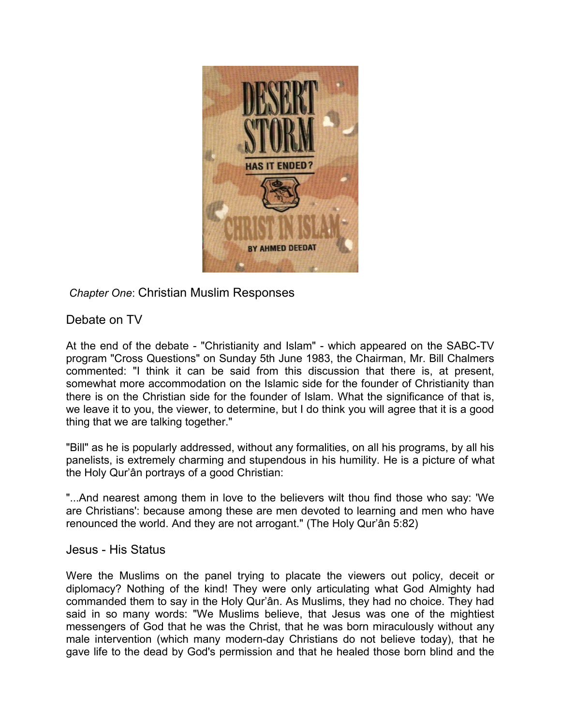

*Chapter One*: Christian Muslim Responses

# Debate on TV

At the end of the debate - "Christianity and Islam" - which appeared on the SABC-TV program "Cross Questions" on Sunday 5th June 1983, the Chairman, Mr. Bill Chalmers commented: "I think it can be said from this discussion that there is, at present, somewhat more accommodation on the Islamic side for the founder of Christianity than there is on the Christian side for the founder of Islam. What the significance of that is, we leave it to you, the viewer, to determine, but I do think you will agree that it is a good thing that we are talking together."

"Bill" as he is popularly addressed, without any formalities, on all his programs, by all his panelists, is extremely charming and stupendous in his humility. He is a picture of what the Holy Qur'ân portrays of a good Christian:

"...And nearest among them in love to the believers wilt thou find those who say: 'We are Christians': because among these are men devoted to learning and men who have renounced the world. And they are not arrogant." (The Holy Qur'ân 5:82)

## Jesus - His Status

Were the Muslims on the panel trying to placate the viewers out policy, deceit or diplomacy? Nothing of the kind! They were only articulating what God Almighty had commanded them to say in the Holy Qur'ân. As Muslims, they had no choice. They had said in so many words: "We Muslims believe, that Jesus was one of the mightiest messengers of God that he was the Christ, that he was born miraculously without any male intervention (which many modern-day Christians do not believe today), that he gave life to the dead by God's permission and that he healed those born blind and the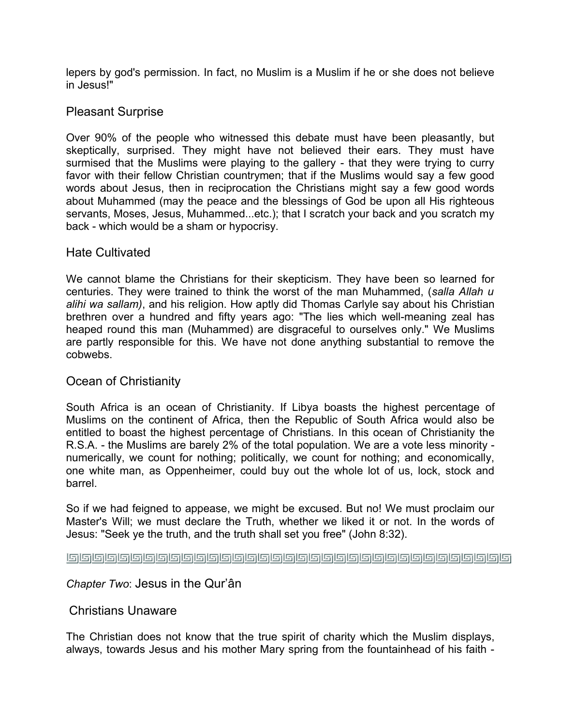lepers by god's permission. In fact, no Muslim is a Muslim if he or she does not believe in Jesus!"

### Pleasant Surprise

Over 90% of the people who witnessed this debate must have been pleasantly, but skeptically, surprised. They might have not believed their ears. They must have surmised that the Muslims were playing to the gallery - that they were trying to curry favor with their fellow Christian countrymen; that if the Muslims would say a few good words about Jesus, then in reciprocation the Christians might say a few good words about Muhammed (may the peace and the blessings of God be upon all His righteous servants, Moses, Jesus, Muhammed...etc.); that I scratch your back and you scratch my back - which would be a sham or hypocrisy.

#### Hate Cultivated

We cannot blame the Christians for their skepticism. They have been so learned for centuries. They were trained to think the worst of the man Muhammed, (*salla Allah u alihi wa sallam)*, and his religion. How aptly did Thomas Carlyle say about his Christian brethren over a hundred and fifty years ago: "The lies which well-meaning zeal has heaped round this man (Muhammed) are disgraceful to ourselves only." We Muslims are partly responsible for this. We have not done anything substantial to remove the cobwebs.

## Ocean of Christianity

South Africa is an ocean of Christianity. If Libya boasts the highest percentage of Muslims on the continent of Africa, then the Republic of South Africa would also be entitled to boast the highest percentage of Christians. In this ocean of Christianity the R.S.A. - the Muslims are barely 2% of the total population. We are a vote less minority numerically, we count for nothing; politically, we count for nothing; and economically, one white man, as Oppenheimer, could buy out the whole lot of us, lock, stock and barrel.

So if we had feigned to appease, we might be excused. But no! We must proclaim our Master's Will; we must declare the Truth, whether we liked it or not. In the words of Jesus: "Seek ye the truth, and the truth shall set you free" (John 8:32).

## *Chapter Two*: Jesus in the Qur'ân

#### Christians Unaware

The Christian does not know that the true spirit of charity which the Muslim displays, always, towards Jesus and his mother Mary spring from the fountainhead of his faith -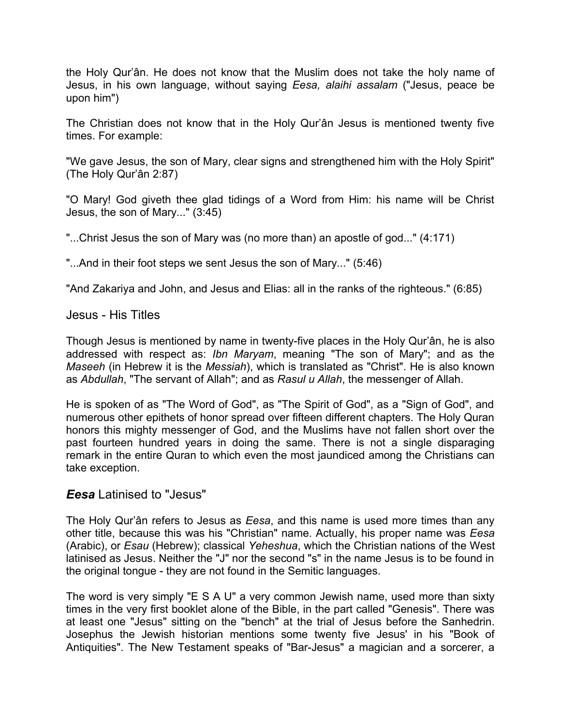the Holy Qur'ân. He does not know that the Muslim does not take the holy name of Jesus, in his own language, without saying *Eesa, alaihi assalam* ("Jesus, peace be upon him")

The Christian does not know that in the Holy Qur'ân Jesus is mentioned twenty five times. For example:

"We gave Jesus, the son of Mary, clear signs and strengthened him with the Holy Spirit" (The Holy Qur'ân 2:87)

"O Mary! God giveth thee glad tidings of a Word from Him: his name will be Christ Jesus, the son of Mary..." (3:45)

"...Christ Jesus the son of Mary was (no more than) an apostle of god..." (4:171)

"...And in their foot steps we sent Jesus the son of Mary..." (5:46)

"And Zakariya and John, and Jesus and Elias: all in the ranks of the righteous." (6:85)

Jesus - His Titles

Though Jesus is mentioned by name in twenty-five places in the Holy Qur'ân, he is also addressed with respect as: *Ibn Maryam*, meaning "The son of Mary"; and as the *Maseeh* (in Hebrew it is the *Messiah*), which is translated as "Christ". He is also known as *Abdullah*, "The servant of Allah"; and as *Rasul u Allah*, the messenger of Allah.

He is spoken of as "The Word of God", as "The Spirit of God", as a "Sign of God", and numerous other epithets of honor spread over fifteen different chapters. The Holy Quran honors this mighty messenger of God, and the Muslims have not fallen short over the past fourteen hundred years in doing the same. There is not a single disparaging remark in the entire Quran to which even the most jaundiced among the Christians can take exception.

## *Eesa* Latinised to "Jesus"

The Holy Qur'ân refers to Jesus as *Eesa*, and this name is used more times than any other title, because this was his "Christian" name. Actually, his proper name was *Eesa* (Arabic), or *Esau* (Hebrew); classical *Yeheshua*, which the Christian nations of the West latinised as Jesus. Neither the "J" nor the second "s" in the name Jesus is to be found in the original tongue - they are not found in the Semitic languages.

The word is very simply "E S A U" a very common Jewish name, used more than sixty times in the very first booklet alone of the Bible, in the part called "Genesis". There was at least one "Jesus" sitting on the "bench" at the trial of Jesus before the Sanhedrin. Josephus the Jewish historian mentions some twenty five Jesus' in his "Book of Antiquities". The New Testament speaks of "Bar-Jesus" a magician and a sorcerer, a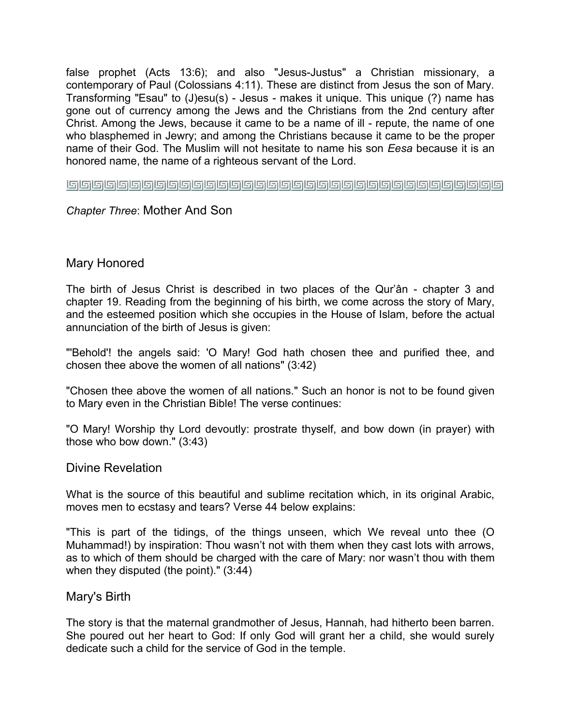false prophet (Acts 13:6); and also "Jesus-Justus" a Christian missionary, a contemporary of Paul (Colossians 4:11). These are distinct from Jesus the son of Mary. Transforming "Esau" to (J)esu(s) - Jesus - makes it unique. This unique (?) name has gone out of currency among the Jews and the Christians from the 2nd century after Christ. Among the Jews, because it came to be a name of ill - repute, the name of one who blasphemed in Jewry; and among the Christians because it came to be the proper name of their God. The Muslim will not hesitate to name his son *Eesa* because it is an honored name, the name of a righteous servant of the Lord.

# *Chapter Three*: Mother And Son

### Mary Honored

The birth of Jesus Christ is described in two places of the Qur'ân - chapter 3 and chapter 19. Reading from the beginning of his birth, we come across the story of Mary, and the esteemed position which she occupies in the House of Islam, before the actual annunciation of the birth of Jesus is given:

"'Behold'! the angels said: 'O Mary! God hath chosen thee and purified thee, and chosen thee above the women of all nations" (3:42)

"Chosen thee above the women of all nations." Such an honor is not to be found given to Mary even in the Christian Bible! The verse continues:

"O Mary! Worship thy Lord devoutly: prostrate thyself, and bow down (in prayer) with those who bow down." (3:43)

#### Divine Revelation

What is the source of this beautiful and sublime recitation which, in its original Arabic, moves men to ecstasy and tears? Verse 44 below explains:

"This is part of the tidings, of the things unseen, which We reveal unto thee (O Muhammad!) by inspiration: Thou wasn't not with them when they cast lots with arrows, as to which of them should be charged with the care of Mary: nor wasn't thou with them when they disputed (the point)." (3:44)

#### Mary's Birth

The story is that the maternal grandmother of Jesus, Hannah, had hitherto been barren. She poured out her heart to God: If only God will grant her a child, she would surely dedicate such a child for the service of God in the temple.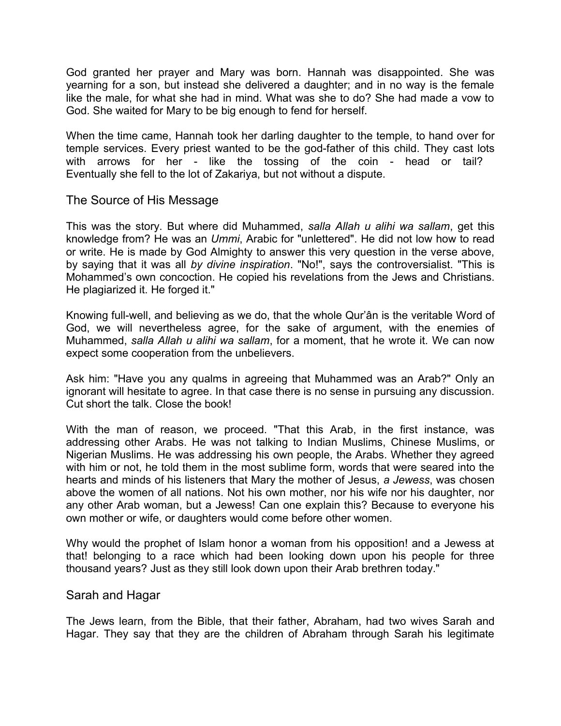God granted her prayer and Mary was born. Hannah was disappointed. She was yearning for a son, but instead she delivered a daughter; and in no way is the female like the male, for what she had in mind. What was she to do? She had made a vow to God. She waited for Mary to be big enough to fend for herself.

When the time came, Hannah took her darling daughter to the temple, to hand over for temple services. Every priest wanted to be the god-father of this child. They cast lots with arrows for her - like the tossing of the coin - head or tail? Eventually she fell to the lot of Zakariya, but not without a dispute.

### The Source of His Message

This was the story. But where did Muhammed, *salla Allah u alihi wa sallam*, get this knowledge from? He was an *Ummi*, Arabic for "unlettered". He did not low how to read or write. He is made by God Almighty to answer this very question in the verse above, by saying that it was all *by divine inspiration*. "No!", says the controversialist. "This is Mohammed's own concoction. He copied his revelations from the Jews and Christians. He plagiarized it. He forged it."

Knowing full-well, and believing as we do, that the whole Qur'ân is the veritable Word of God, we will nevertheless agree, for the sake of argument, with the enemies of Muhammed, *salla Allah u alihi wa sallam*, for a moment, that he wrote it. We can now expect some cooperation from the unbelievers.

Ask him: "Have you any qualms in agreeing that Muhammed was an Arab?" Only an ignorant will hesitate to agree. In that case there is no sense in pursuing any discussion. Cut short the talk. Close the book!

With the man of reason, we proceed. "That this Arab, in the first instance, was addressing other Arabs. He was not talking to Indian Muslims, Chinese Muslims, or Nigerian Muslims. He was addressing his own people, the Arabs. Whether they agreed with him or not, he told them in the most sublime form, words that were seared into the hearts and minds of his listeners that Mary the mother of Jesus, *a Jewess*, was chosen above the women of all nations. Not his own mother, nor his wife nor his daughter, nor any other Arab woman, but a Jewess! Can one explain this? Because to everyone his own mother or wife, or daughters would come before other women.

Why would the prophet of Islam honor a woman from his opposition! and a Jewess at that! belonging to a race which had been looking down upon his people for three thousand years? Just as they still look down upon their Arab brethren today."

#### Sarah and Hagar

The Jews learn, from the Bible, that their father, Abraham, had two wives Sarah and Hagar. They say that they are the children of Abraham through Sarah his legitimate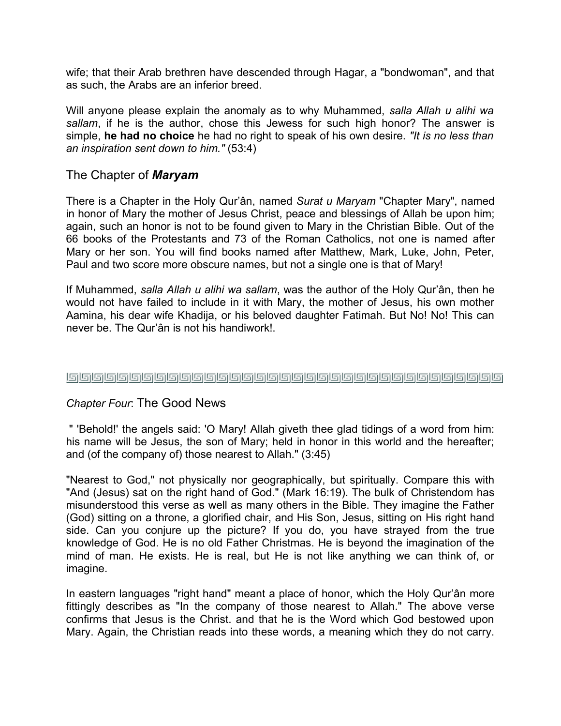wife; that their Arab brethren have descended through Hagar, a "bondwoman", and that as such, the Arabs are an inferior breed.

Will anyone please explain the anomaly as to why Muhammed, *salla Allah u alihi wa sallam*, if he is the author, chose this Jewess for such high honor? The answer is simple, **he had no choice** he had no right to speak of his own desire. *"It is no less than an inspiration sent down to him."* (53:4)

## The Chapter of *Maryam*

There is a Chapter in the Holy Qur'ân, named *Surat u Maryam* "Chapter Mary", named in honor of Mary the mother of Jesus Christ, peace and blessings of Allah be upon him; again, such an honor is not to be found given to Mary in the Christian Bible. Out of the 66 books of the Protestants and 73 of the Roman Catholics, not one is named after Mary or her son. You will find books named after Matthew, Mark, Luke, John, Peter, Paul and two score more obscure names, but not a single one is that of Mary!

If Muhammed, *salla Allah u alihi wa sallam*, was the author of the Holy Qur'ân, then he would not have failed to include in it with Mary, the mother of Jesus, his own mother Aamina, his dear wife Khadija, or his beloved daughter Fatimah. But No! No! This can never be. The Qur'ân is not his handiwork!.

#### 

#### *Chapter Four*: The Good News

" 'Behold!' the angels said: 'O Mary! Allah giveth thee glad tidings of a word from him: his name will be Jesus, the son of Mary; held in honor in this world and the hereafter; and (of the company of) those nearest to Allah." (3:45)

"Nearest to God," not physically nor geographically, but spiritually. Compare this with "And (Jesus) sat on the right hand of God." (Mark 16:19). The bulk of Christendom has misunderstood this verse as well as many others in the Bible. They imagine the Father (God) sitting on a throne, a glorified chair, and His Son, Jesus, sitting on His right hand side. Can you conjure up the picture? If you do, you have strayed from the true knowledge of God. He is no old Father Christmas. He is beyond the imagination of the mind of man. He exists. He is real, but He is not like anything we can think of, or imagine.

In eastern languages "right hand" meant a place of honor, which the Holy Qur'ân more fittingly describes as "In the company of those nearest to Allah." The above verse confirms that Jesus is the Christ. and that he is the Word which God bestowed upon Mary. Again, the Christian reads into these words, a meaning which they do not carry.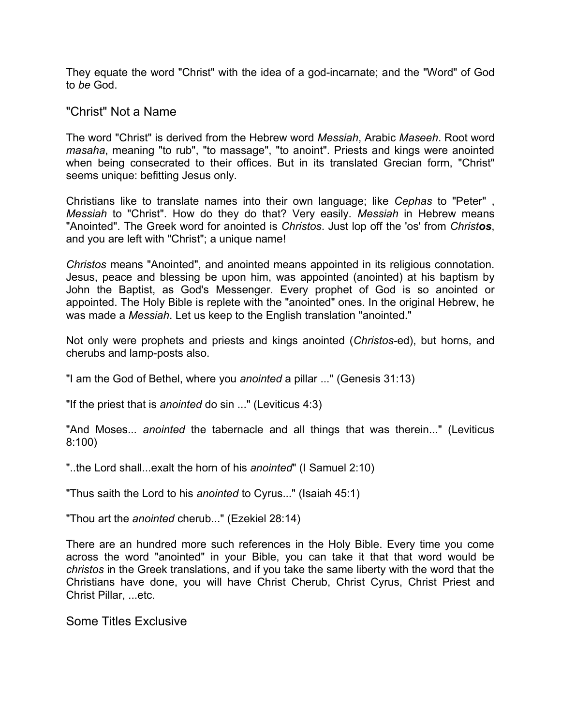They equate the word "Christ" with the idea of a god-incarnate; and the "Word" of God to *be* God.

"Christ" Not a Name

The word "Christ" is derived from the Hebrew word *Messiah*, Arabic *Maseeh*. Root word *masaha*, meaning "to rub", "to massage", "to anoint". Priests and kings were anointed when being consecrated to their offices. But in its translated Grecian form, "Christ" seems unique: befitting Jesus only.

Christians like to translate names into their own language; like *Cephas* to "Peter" , *Messiah* to "Christ". How do they do that? Very easily. *Messiah* in Hebrew means "Anointed". The Greek word for anointed is *Christos*. Just lop off the 'os' from *Christos*, and you are left with "Christ"; a unique name!

*Christos* means "Anointed", and anointed means appointed in its religious connotation. Jesus, peace and blessing be upon him, was appointed (anointed) at his baptism by John the Baptist, as God's Messenger. Every prophet of God is so anointed or appointed. The Holy Bible is replete with the "anointed" ones. In the original Hebrew, he was made a *Messiah*. Let us keep to the English translation "anointed."

Not only were prophets and priests and kings anointed (*Christos*-ed), but horns, and cherubs and lamp-posts also.

"I am the God of Bethel, where you *anointed* a pillar ..." (Genesis 31:13)

"If the priest that is *anointed* do sin ..." (Leviticus 4:3)

"And Moses... *anointed* the tabernacle and all things that was therein..." (Leviticus 8:100)

"..the Lord shall...exalt the horn of his *anointed*" (I Samuel 2:10)

"Thus saith the Lord to his *anointed* to Cyrus..." (Isaiah 45:1)

"Thou art the *anointed* cherub..." (Ezekiel 28:14)

There are an hundred more such references in the Holy Bible. Every time you come across the word "anointed" in your Bible, you can take it that that word would be *christos* in the Greek translations, and if you take the same liberty with the word that the Christians have done, you will have Christ Cherub, Christ Cyrus, Christ Priest and Christ Pillar, ...etc.

Some Titles Exclusive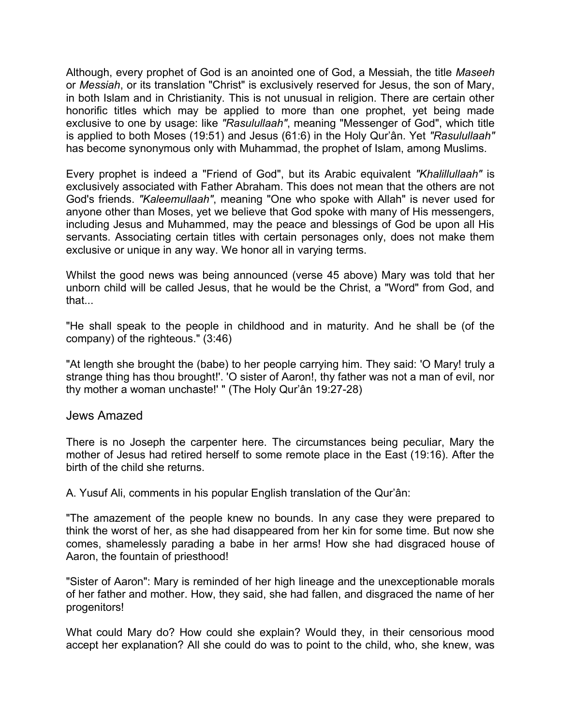Although, every prophet of God is an anointed one of God, a Messiah, the title *Maseeh* or *Messiah*, or its translation "Christ" is exclusively reserved for Jesus, the son of Mary, in both Islam and in Christianity. This is not unusual in religion. There are certain other honorific titles which may be applied to more than one prophet, yet being made exclusive to one by usage: like *"Rasulullaah"*, meaning "Messenger of God", which title is applied to both Moses (19:51) and Jesus (61:6) in the Holy Qur'ân. Yet *"Rasulullaah"* has become synonymous only with Muhammad, the prophet of Islam, among Muslims.

Every prophet is indeed a "Friend of God", but its Arabic equivalent *"Khalillullaah"* is exclusively associated with Father Abraham. This does not mean that the others are not God's friends. *"Kaleemullaah"*, meaning "One who spoke with Allah" is never used for anyone other than Moses, yet we believe that God spoke with many of His messengers, including Jesus and Muhammed, may the peace and blessings of God be upon all His servants. Associating certain titles with certain personages only, does not make them exclusive or unique in any way. We honor all in varying terms.

Whilst the good news was being announced (verse 45 above) Mary was told that her unborn child will be called Jesus, that he would be the Christ, a "Word" from God, and that...

"He shall speak to the people in childhood and in maturity. And he shall be (of the company) of the righteous." (3:46)

"At length she brought the (babe) to her people carrying him. They said: 'O Mary! truly a strange thing has thou brought!'. 'O sister of Aaron!, thy father was not a man of evil, nor thy mother a woman unchaste!' " (The Holy Qur'ân 19:27-28)

#### Jews Amazed

There is no Joseph the carpenter here. The circumstances being peculiar, Mary the mother of Jesus had retired herself to some remote place in the East (19:16). After the birth of the child she returns.

A. Yusuf Ali, comments in his popular English translation of the Qur'ân:

"The amazement of the people knew no bounds. In any case they were prepared to think the worst of her, as she had disappeared from her kin for some time. But now she comes, shamelessly parading a babe in her arms! How she had disgraced house of Aaron, the fountain of priesthood!

"Sister of Aaron": Mary is reminded of her high lineage and the unexceptionable morals of her father and mother. How, they said, she had fallen, and disgraced the name of her progenitors!

What could Mary do? How could she explain? Would they, in their censorious mood accept her explanation? All she could do was to point to the child, who, she knew, was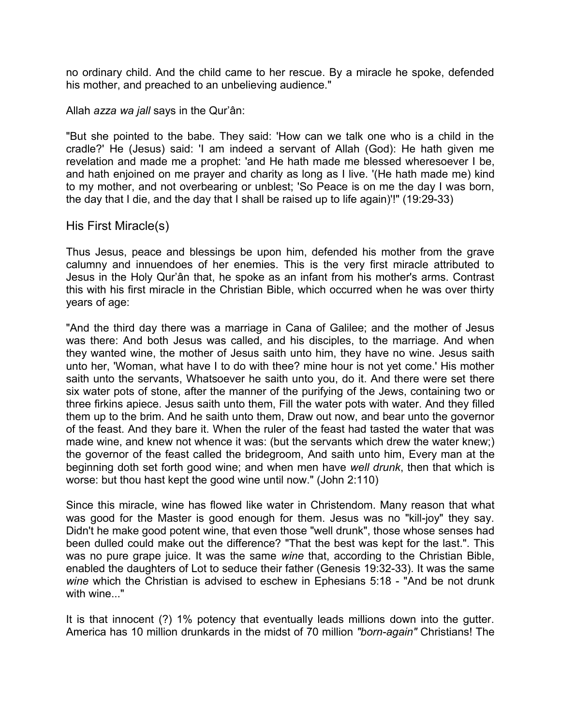no ordinary child. And the child came to her rescue. By a miracle he spoke, defended his mother, and preached to an unbelieving audience."

Allah *azza wa jall* says in the Qur'ân:

"But she pointed to the babe. They said: 'How can we talk one who is a child in the cradle?' He (Jesus) said: 'I am indeed a servant of Allah (God): He hath given me revelation and made me a prophet: 'and He hath made me blessed wheresoever I be, and hath enjoined on me prayer and charity as long as I live. '(He hath made me) kind to my mother, and not overbearing or unblest; 'So Peace is on me the day I was born, the day that I die, and the day that I shall be raised up to life again)'!" (19:29-33)

### His First Miracle(s)

Thus Jesus, peace and blessings be upon him, defended his mother from the grave calumny and innuendoes of her enemies. This is the very first miracle attributed to Jesus in the Holy Qur'ân that, he spoke as an infant from his mother's arms. Contrast this with his first miracle in the Christian Bible, which occurred when he was over thirty years of age:

"And the third day there was a marriage in Cana of Galilee; and the mother of Jesus was there: And both Jesus was called, and his disciples, to the marriage. And when they wanted wine, the mother of Jesus saith unto him, they have no wine. Jesus saith unto her, 'Woman, what have I to do with thee? mine hour is not yet come.' His mother saith unto the servants, Whatsoever he saith unto you, do it. And there were set there six water pots of stone, after the manner of the purifying of the Jews, containing two or three firkins apiece. Jesus saith unto them, Fill the water pots with water. And they filled them up to the brim. And he saith unto them, Draw out now, and bear unto the governor of the feast. And they bare it. When the ruler of the feast had tasted the water that was made wine, and knew not whence it was: (but the servants which drew the water knew;) the governor of the feast called the bridegroom, And saith unto him, Every man at the beginning doth set forth good wine; and when men have *well drunk*, then that which is worse: but thou hast kept the good wine until now." (John 2:110)

Since this miracle, wine has flowed like water in Christendom. Many reason that what was good for the Master is good enough for them. Jesus was no "kill-joy" they say. Didn't he make good potent wine, that even those "well drunk", those whose senses had been dulled could make out the difference? "That the best was kept for the last.". This was no pure grape juice. It was the same *wine* that, according to the Christian Bible, enabled the daughters of Lot to seduce their father (Genesis 19:32-33). It was the same *wine* which the Christian is advised to eschew in Ephesians 5:18 - "And be not drunk with wine..."

It is that innocent (?) 1% potency that eventually leads millions down into the gutter. America has 10 million drunkards in the midst of 70 million *"born-again"* Christians! The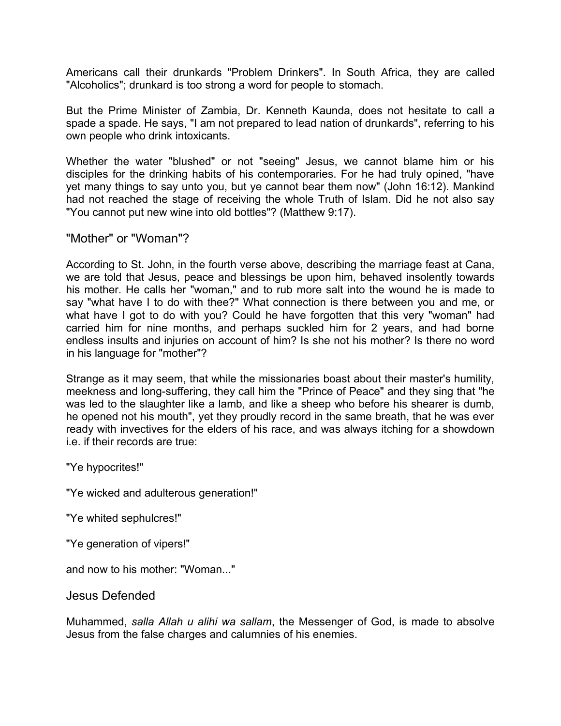Americans call their drunkards "Problem Drinkers". In South Africa, they are called "Alcoholics"; drunkard is too strong a word for people to stomach.

But the Prime Minister of Zambia, Dr. Kenneth Kaunda, does not hesitate to call a spade a spade. He says, "I am not prepared to lead nation of drunkards", referring to his own people who drink intoxicants.

Whether the water "blushed" or not "seeing" Jesus, we cannot blame him or his disciples for the drinking habits of his contemporaries. For he had truly opined, "have yet many things to say unto you, but ye cannot bear them now" (John 16:12). Mankind had not reached the stage of receiving the whole Truth of Islam. Did he not also say "You cannot put new wine into old bottles"? (Matthew 9:17).

"Mother" or "Woman"?

According to St. John, in the fourth verse above, describing the marriage feast at Cana, we are told that Jesus, peace and blessings be upon him, behaved insolently towards his mother. He calls her "woman," and to rub more salt into the wound he is made to say "what have I to do with thee?" What connection is there between you and me, or what have I got to do with you? Could he have forgotten that this very "woman" had carried him for nine months, and perhaps suckled him for 2 years, and had borne endless insults and injuries on account of him? Is she not his mother? Is there no word in his language for "mother"?

Strange as it may seem, that while the missionaries boast about their master's humility, meekness and long-suffering, they call him the "Prince of Peace" and they sing that "he was led to the slaughter like a lamb, and like a sheep who before his shearer is dumb, he opened not his mouth", yet they proudly record in the same breath, that he was ever ready with invectives for the elders of his race, and was always itching for a showdown i.e. if their records are true:

"Ye hypocrites!"

"Ye wicked and adulterous generation!"

"Ye whited sephulcres!"

"Ye generation of vipers!"

and now to his mother: "Woman..."

Jesus Defended

Muhammed, *salla Allah u alihi wa sallam*, the Messenger of God, is made to absolve Jesus from the false charges and calumnies of his enemies.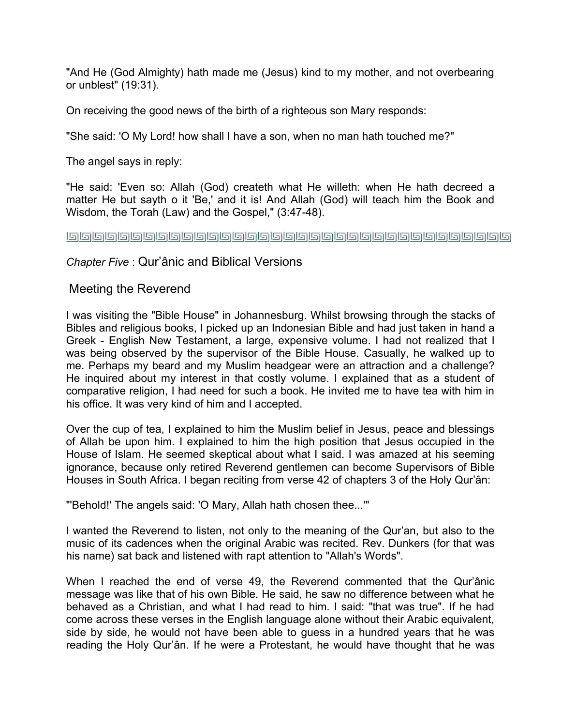"And He (God Almighty) hath made me (Jesus) kind to my mother, and not overbearing or unblest" (19:31).

On receiving the good news of the birth of a righteous son Mary responds:

"She said: 'O My Lord! how shall I have a son, when no man hath touched me?"

The angel says in reply:

"He said: 'Even so: Allah (God) createth what He willeth: when He hath decreed a matter He but sayth o it 'Be,' and it is! And Allah (God) will teach him the Book and Wisdom, the Torah (Law) and the Gospel," (3:47-48).

#### *Chapter Five* : Qur'ânic and Biblical Versions

### Meeting the Reverend

I was visiting the "Bible House" in Johannesburg. Whilst browsing through the stacks of Bibles and religious books, I picked up an Indonesian Bible and had just taken in hand a Greek - English New Testament, a large, expensive volume. I had not realized that I was being observed by the supervisor of the Bible House. Casually, he walked up to me. Perhaps my beard and my Muslim headgear were an attraction and a challenge? He inquired about my interest in that costly volume. I explained that as a student of comparative religion, I had need for such a book. He invited me to have tea with him in his office. It was very kind of him and I accepted.

Over the cup of tea, I explained to him the Muslim belief in Jesus, peace and blessings of Allah be upon him. I explained to him the high position that Jesus occupied in the House of Islam. He seemed skeptical about what I said. I was amazed at his seeming ignorance, because only retired Reverend gentlemen can become Supervisors of Bible Houses in South Africa. I began reciting from verse 42 of chapters 3 of the Holy Qur'ân:

"'Behold!' The angels said: 'O Mary, Allah hath chosen thee...'"

I wanted the Reverend to listen, not only to the meaning of the Qur'an, but also to the music of its cadences when the original Arabic was recited. Rev. Dunkers (for that was his name) sat back and listened with rapt attention to "Allah's Words".

When I reached the end of verse 49, the Reverend commented that the Qur'ânic message was like that of his own Bible. He said, he saw no difference between what he behaved as a Christian, and what I had read to him. I said: "that was true". If he had come across these verses in the English language alone without their Arabic equivalent, side by side, he would not have been able to guess in a hundred years that he was reading the Holy Qur'ân. If he were a Protestant, he would have thought that he was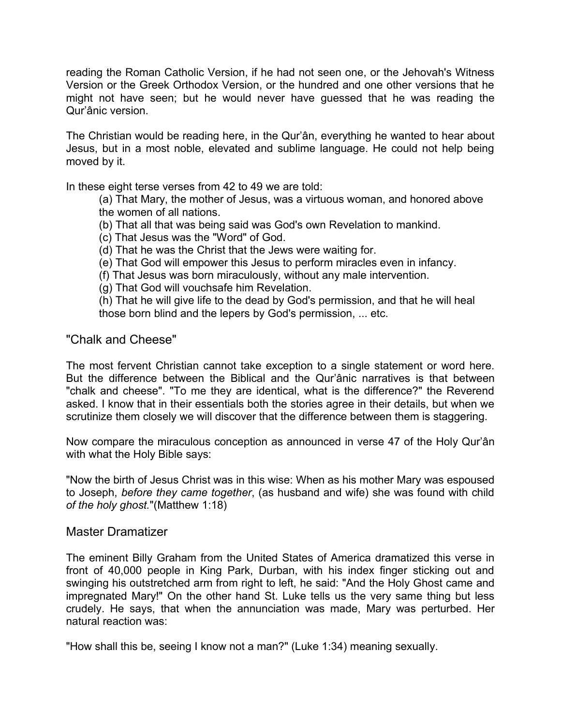reading the Roman Catholic Version, if he had not seen one, or the Jehovah's Witness Version or the Greek Orthodox Version, or the hundred and one other versions that he might not have seen; but he would never have guessed that he was reading the Qur'ânic version.

The Christian would be reading here, in the Qur'ân, everything he wanted to hear about Jesus, but in a most noble, elevated and sublime language. He could not help being moved by it.

In these eight terse verses from 42 to 49 we are told:

(a) That Mary, the mother of Jesus, was a virtuous woman, and honored above the women of all nations.

(b) That all that was being said was God's own Revelation to mankind.

(c) That Jesus was the "Word" of God.

(d) That he was the Christ that the Jews were waiting for.

(e) That God will empower this Jesus to perform miracles even in infancy.

(f) That Jesus was born miraculously, without any male intervention.

(g) That God will vouchsafe him Revelation.

(h) That he will give life to the dead by God's permission, and that he will heal those born blind and the lepers by God's permission, ... etc.

"Chalk and Cheese"

The most fervent Christian cannot take exception to a single statement or word here. But the difference between the Biblical and the Qur'ânic narratives is that between "chalk and cheese". "To me they are identical, what is the difference?" the Reverend asked. I know that in their essentials both the stories agree in their details, but when we scrutinize them closely we will discover that the difference between them is staggering.

Now compare the miraculous conception as announced in verse 47 of the Holy Qur'ân with what the Holy Bible says:

"Now the birth of Jesus Christ was in this wise: When as his mother Mary was espoused to Joseph, *before they came together*, (as husband and wife) she was found with child *of the holy ghost.*"(Matthew 1:18)

Master Dramatizer

The eminent Billy Graham from the United States of America dramatized this verse in front of 40,000 people in King Park, Durban, with his index finger sticking out and swinging his outstretched arm from right to left, he said: "And the Holy Ghost came and impregnated Mary!" On the other hand St. Luke tells us the very same thing but less crudely. He says, that when the annunciation was made, Mary was perturbed. Her natural reaction was:

"How shall this be, seeing I know not a man?" (Luke 1:34) meaning sexually.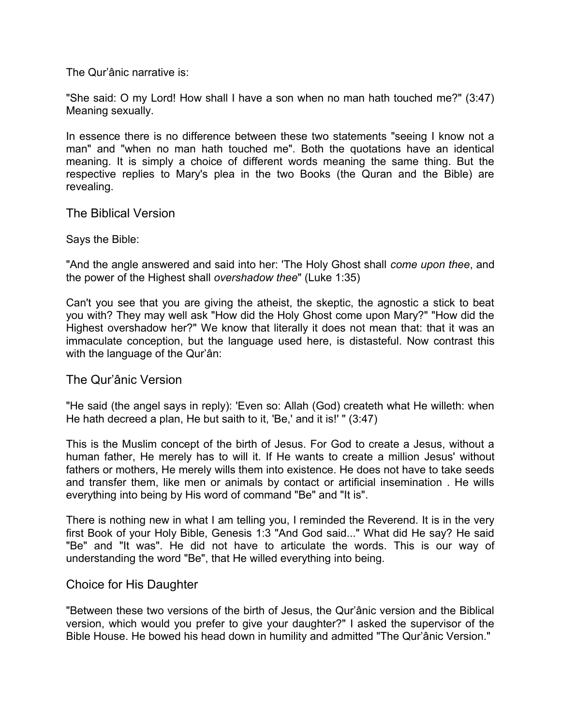The Qur'ânic narrative is:

"She said: O my Lord! How shall I have a son when no man hath touched me?" (3:47) Meaning sexually.

In essence there is no difference between these two statements "seeing I know not a man" and "when no man hath touched me". Both the quotations have an identical meaning. It is simply a choice of different words meaning the same thing. But the respective replies to Mary's plea in the two Books (the Quran and the Bible) are revealing.

The Biblical Version

Says the Bible:

"And the angle answered and said into her: 'The Holy Ghost shall *come upon thee*, and the power of the Highest shall *overshadow thee*" (Luke 1:35)

Can't you see that you are giving the atheist, the skeptic, the agnostic a stick to beat you with? They may well ask "How did the Holy Ghost come upon Mary?" "How did the Highest overshadow her?" We know that literally it does not mean that: that it was an immaculate conception, but the language used here, is distasteful. Now contrast this with the language of the Qur'ân:

The Qur'ânic Version

"He said (the angel says in reply): 'Even so: Allah (God) createth what He willeth: when He hath decreed a plan, He but saith to it, 'Be,' and it is!' " (3:47)

This is the Muslim concept of the birth of Jesus. For God to create a Jesus, without a human father, He merely has to will it. If He wants to create a million Jesus' without fathers or mothers, He merely wills them into existence. He does not have to take seeds and transfer them, like men or animals by contact or artificial insemination . He wills everything into being by His word of command "Be" and "It is".

There is nothing new in what I am telling you, I reminded the Reverend. It is in the very first Book of your Holy Bible, Genesis 1:3 "And God said..." What did He say? He said "Be" and "It was". He did not have to articulate the words. This is our way of understanding the word "Be", that He willed everything into being.

#### Choice for His Daughter

"Between these two versions of the birth of Jesus, the Qur'ânic version and the Biblical version, which would you prefer to give your daughter?" I asked the supervisor of the Bible House. He bowed his head down in humility and admitted "The Qur'ânic Version."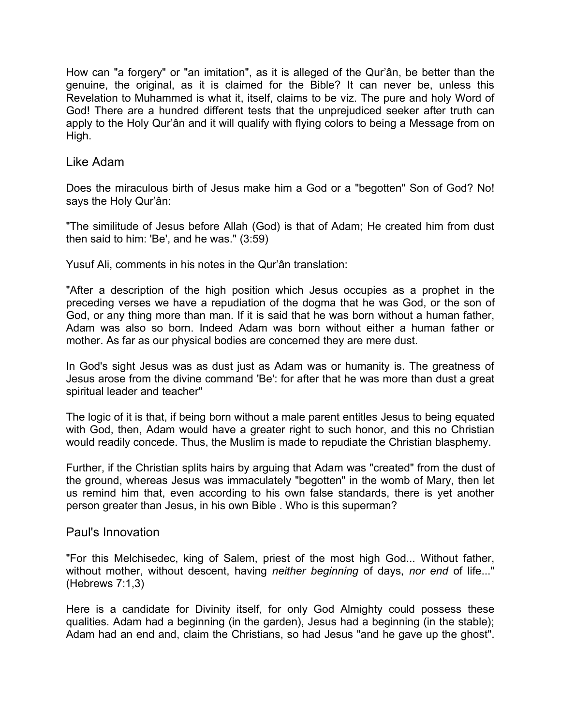How can "a forgery" or "an imitation", as it is alleged of the Qur'ân, be better than the genuine, the original, as it is claimed for the Bible? It can never be, unless this Revelation to Muhammed is what it, itself, claims to be viz. The pure and holy Word of God! There are a hundred different tests that the unprejudiced seeker after truth can apply to the Holy Qur'ân and it will qualify with flying colors to being a Message from on High.

### Like Adam

Does the miraculous birth of Jesus make him a God or a "begotten" Son of God? No! says the Holy Qur'ân:

"The similitude of Jesus before Allah (God) is that of Adam; He created him from dust then said to him: 'Be', and he was." (3:59)

Yusuf Ali, comments in his notes in the Qur'ân translation:

"After a description of the high position which Jesus occupies as a prophet in the preceding verses we have a repudiation of the dogma that he was God, or the son of God, or any thing more than man. If it is said that he was born without a human father, Adam was also so born. Indeed Adam was born without either a human father or mother. As far as our physical bodies are concerned they are mere dust.

In God's sight Jesus was as dust just as Adam was or humanity is. The greatness of Jesus arose from the divine command 'Be': for after that he was more than dust a great spiritual leader and teacher"

The logic of it is that, if being born without a male parent entitles Jesus to being equated with God, then, Adam would have a greater right to such honor, and this no Christian would readily concede. Thus, the Muslim is made to repudiate the Christian blasphemy.

Further, if the Christian splits hairs by arguing that Adam was "created" from the dust of the ground, whereas Jesus was immaculately "begotten" in the womb of Mary, then let us remind him that, even according to his own false standards, there is yet another person greater than Jesus, in his own Bible . Who is this superman?

#### Paul's Innovation

"For this Melchisedec, king of Salem, priest of the most high God... Without father, without mother, without descent, having *neither beginning* of days, *nor end* of life..." (Hebrews 7:1,3)

Here is a candidate for Divinity itself, for only God Almighty could possess these qualities. Adam had a beginning (in the garden), Jesus had a beginning (in the stable); Adam had an end and, claim the Christians, so had Jesus "and he gave up the ghost".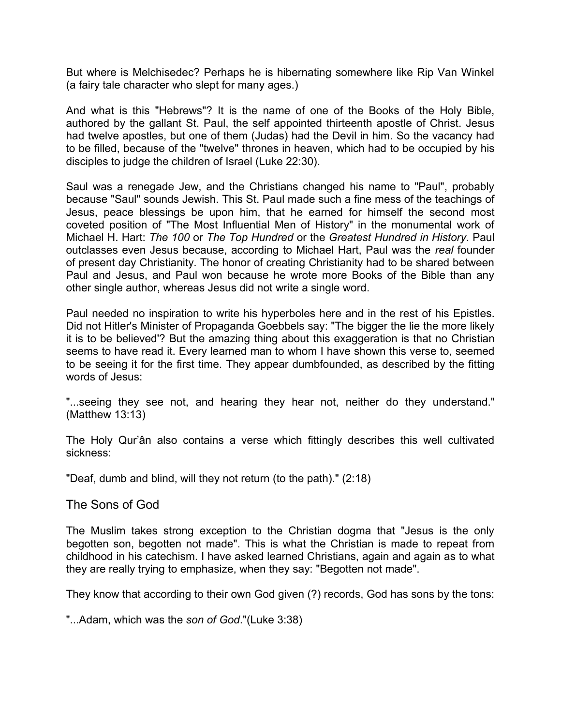But where is Melchisedec? Perhaps he is hibernating somewhere like Rip Van Winkel (a fairy tale character who slept for many ages.)

And what is this "Hebrews"? It is the name of one of the Books of the Holy Bible, authored by the gallant St. Paul, the self appointed thirteenth apostle of Christ. Jesus had twelve apostles, but one of them (Judas) had the Devil in him. So the vacancy had to be filled, because of the "twelve" thrones in heaven, which had to be occupied by his disciples to judge the children of Israel (Luke 22:30).

Saul was a renegade Jew, and the Christians changed his name to "Paul", probably because "Saul" sounds Jewish. This St. Paul made such a fine mess of the teachings of Jesus, peace blessings be upon him, that he earned for himself the second most coveted position of "The Most Influential Men of History" in the monumental work of Michael H. Hart: *The 100* or *The Top Hundred* or the *Greatest Hundred in History*. Paul outclasses even Jesus because, according to Michael Hart, Paul was the *real* founder of present day Christianity. The honor of creating Christianity had to be shared between Paul and Jesus, and Paul won because he wrote more Books of the Bible than any other single author, whereas Jesus did not write a single word.

Paul needed no inspiration to write his hyperboles here and in the rest of his Epistles. Did not Hitler's Minister of Propaganda Goebbels say: "The bigger the lie the more likely it is to be believed'? But the amazing thing about this exaggeration is that no Christian seems to have read it. Every learned man to whom I have shown this verse to, seemed to be seeing it for the first time. They appear dumbfounded, as described by the fitting words of Jesus:

"...seeing they see not, and hearing they hear not, neither do they understand." (Matthew 13:13)

The Holy Qur'ân also contains a verse which fittingly describes this well cultivated sickness:

"Deaf, dumb and blind, will they not return (to the path)." (2:18)

The Sons of God

The Muslim takes strong exception to the Christian dogma that "Jesus is the only begotten son, begotten not made". This is what the Christian is made to repeat from childhood in his catechism. I have asked learned Christians, again and again as to what they are really trying to emphasize, when they say: "Begotten not made".

They know that according to their own God given (?) records, God has sons by the tons:

"...Adam, which was the *son of God*."(Luke 3:38)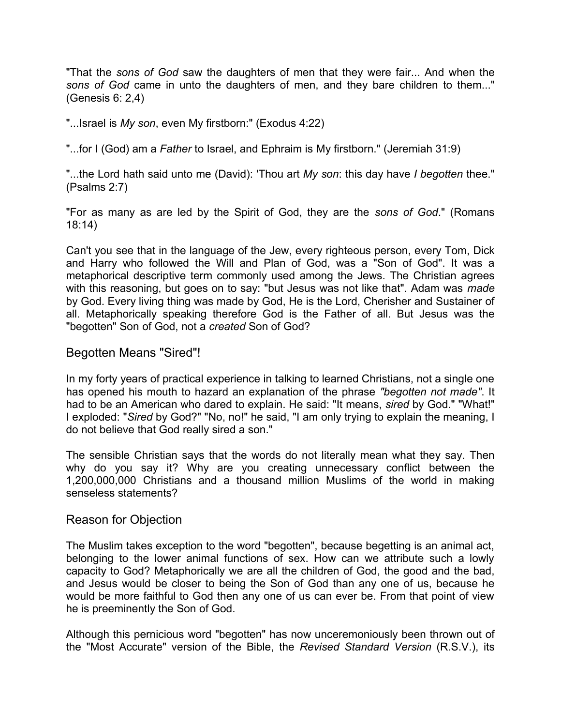"That the *sons of God* saw the daughters of men that they were fair... And when the *sons of God* came in unto the daughters of men, and they bare children to them..." (Genesis 6: 2,4)

"...Israel is *My son*, even My firstborn:" (Exodus 4:22)

"...for I (God) am a *Father* to Israel, and Ephraim is My firstborn." (Jeremiah 31:9)

"...the Lord hath said unto me (David): 'Thou art *My son*: this day have *I begotten* thee." (Psalms 2:7)

"For as many as are led by the Spirit of God, they are the *sons of God*." (Romans 18:14)

Can't you see that in the language of the Jew, every righteous person, every Tom, Dick and Harry who followed the Will and Plan of God, was a "Son of God". It was a metaphorical descriptive term commonly used among the Jews. The Christian agrees with this reasoning, but goes on to say: "but Jesus was not like that". Adam was *made* by God. Every living thing was made by God, He is the Lord, Cherisher and Sustainer of all. Metaphorically speaking therefore God is the Father of all. But Jesus was the "begotten" Son of God, not a *created* Son of God?

#### Begotten Means "Sired"!

In my forty years of practical experience in talking to learned Christians, not a single one has opened his mouth to hazard an explanation of the phrase *"begotten not made"*. It had to be an American who dared to explain. He said: "It means, *sired* by God." "What!" I exploded: "*Sired* by God?" "No, no!" he said, "I am only trying to explain the meaning, I do not believe that God really sired a son."

The sensible Christian says that the words do not literally mean what they say. Then why do you say it? Why are you creating unnecessary conflict between the 1,200,000,000 Christians and a thousand million Muslims of the world in making senseless statements?

#### Reason for Objection

The Muslim takes exception to the word "begotten", because begetting is an animal act, belonging to the lower animal functions of sex. How can we attribute such a lowly capacity to God? Metaphorically we are all the children of God, the good and the bad, and Jesus would be closer to being the Son of God than any one of us, because he would be more faithful to God then any one of us can ever be. From that point of view he is preeminently the Son of God.

Although this pernicious word "begotten" has now unceremoniously been thrown out of the "Most Accurate" version of the Bible, the *Revised Standard Version* (R.S.V.), its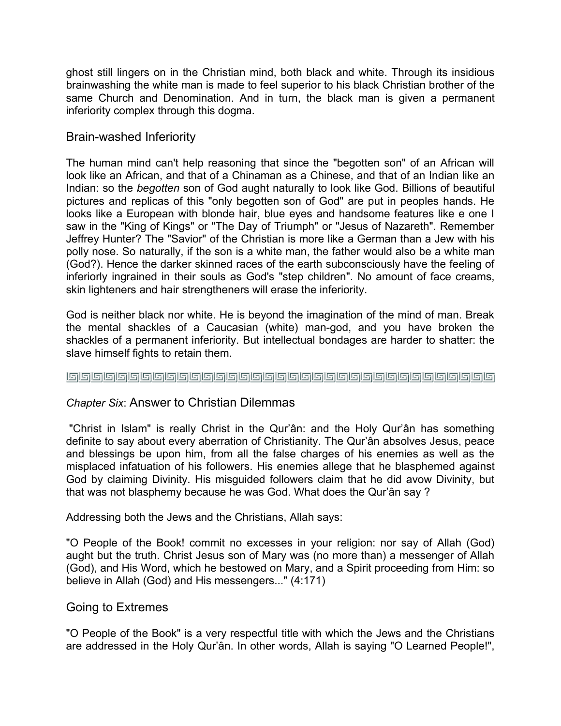ghost still lingers on in the Christian mind, both black and white. Through its insidious brainwashing the white man is made to feel superior to his black Christian brother of the same Church and Denomination. And in turn, the black man is given a permanent inferiority complex through this dogma.

### Brain-washed Inferiority

The human mind can't help reasoning that since the "begotten son" of an African will look like an African, and that of a Chinaman as a Chinese, and that of an Indian like an Indian: so the *begotten* son of God aught naturally to look like God. Billions of beautiful pictures and replicas of this "only begotten son of God" are put in peoples hands. He looks like a European with blonde hair, blue eyes and handsome features like e one I saw in the "King of Kings" or "The Day of Triumph" or "Jesus of Nazareth". Remember Jeffrey Hunter? The "Savior" of the Christian is more like a German than a Jew with his polly nose. So naturally, if the son is a white man, the father would also be a white man (God?). Hence the darker skinned races of the earth subconsciously have the feeling of inferiorly ingrained in their souls as God's "step children". No amount of face creams, skin lighteners and hair strengtheners will erase the inferiority.

God is neither black nor white. He is beyond the imagination of the mind of man. Break the mental shackles of a Caucasian (white) man-god, and you have broken the shackles of a permanent inferiority. But intellectual bondages are harder to shatter: the slave himself fights to retain them.

#### 

## *Chapter Six*: Answer to Christian Dilemmas

"Christ in Islam" is really Christ in the Qur'ân: and the Holy Qur'ân has something definite to say about every aberration of Christianity. The Qur'ân absolves Jesus, peace and blessings be upon him, from all the false charges of his enemies as well as the misplaced infatuation of his followers. His enemies allege that he blasphemed against God by claiming Divinity. His misguided followers claim that he did avow Divinity, but that was not blasphemy because he was God. What does the Qur'ân say ?

Addressing both the Jews and the Christians, Allah says:

"O People of the Book! commit no excesses in your religion: nor say of Allah (God) aught but the truth. Christ Jesus son of Mary was (no more than) a messenger of Allah (God), and His Word, which he bestowed on Mary, and a Spirit proceeding from Him: so believe in Allah (God) and His messengers..." (4:171)

#### Going to Extremes

"O People of the Book" is a very respectful title with which the Jews and the Christians are addressed in the Holy Qur'ân. In other words, Allah is saying "O Learned People!",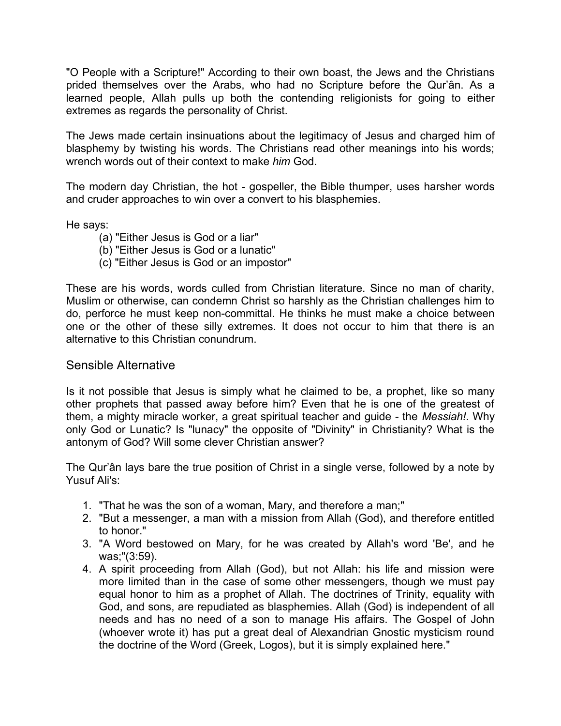"O People with a Scripture!" According to their own boast, the Jews and the Christians prided themselves over the Arabs, who had no Scripture before the Qur'ân. As a learned people, Allah pulls up both the contending religionists for going to either extremes as regards the personality of Christ.

The Jews made certain insinuations about the legitimacy of Jesus and charged him of blasphemy by twisting his words. The Christians read other meanings into his words; wrench words out of their context to make *him* God.

The modern day Christian, the hot - gospeller, the Bible thumper, uses harsher words and cruder approaches to win over a convert to his blasphemies.

He says:

- (a) "Either Jesus is God or a liar"
- (b) "Either Jesus is God or a lunatic"
- (c) "Either Jesus is God or an impostor"

These are his words, words culled from Christian literature. Since no man of charity, Muslim or otherwise, can condemn Christ so harshly as the Christian challenges him to do, perforce he must keep non-committal. He thinks he must make a choice between one or the other of these silly extremes. It does not occur to him that there is an alternative to this Christian conundrum.

#### Sensible Alternative

Is it not possible that Jesus is simply what he claimed to be, a prophet, like so many other prophets that passed away before him? Even that he is one of the greatest of them, a mighty miracle worker, a great spiritual teacher and guide - the *Messiah!*. Why only God or Lunatic? Is "lunacy" the opposite of "Divinity" in Christianity? What is the antonym of God? Will some clever Christian answer?

The Qur'ân lays bare the true position of Christ in a single verse, followed by a note by Yusuf Ali's:

- 1. "That he was the son of a woman, Mary, and therefore a man;"
- 2. "But a messenger, a man with a mission from Allah (God), and therefore entitled to honor."
- 3. "A Word bestowed on Mary, for he was created by Allah's word 'Be', and he was;"(3:59).
- 4. A spirit proceeding from Allah (God), but not Allah: his life and mission were more limited than in the case of some other messengers, though we must pay equal honor to him as a prophet of Allah. The doctrines of Trinity, equality with God, and sons, are repudiated as blasphemies. Allah (God) is independent of all needs and has no need of a son to manage His affairs. The Gospel of John (whoever wrote it) has put a great deal of Alexandrian Gnostic mysticism round the doctrine of the Word (Greek, Logos), but it is simply explained here."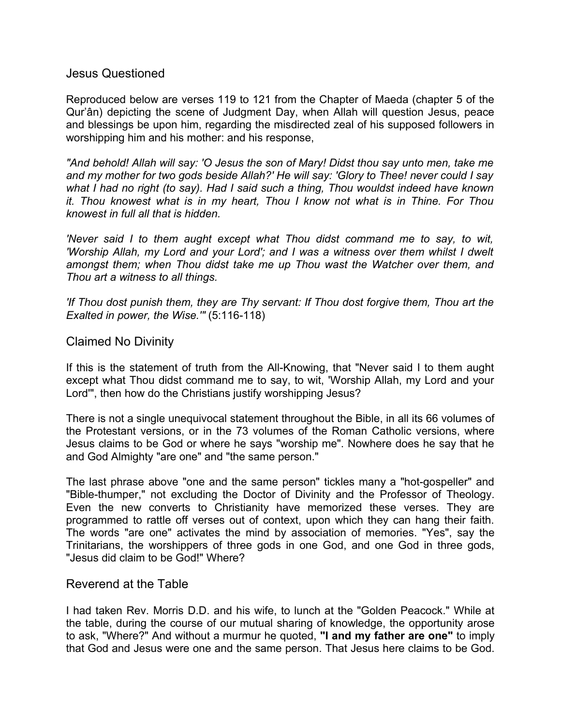#### Jesus Questioned

Reproduced below are verses 119 to 121 from the Chapter of Maeda (chapter 5 of the Qur'ân) depicting the scene of Judgment Day, when Allah will question Jesus, peace and blessings be upon him, regarding the misdirected zeal of his supposed followers in worshipping him and his mother: and his response,

*"And behold! Allah will say: 'O Jesus the son of Mary! Didst thou say unto men, take me and my mother for two gods beside Allah?' He will say: 'Glory to Thee! never could I say what I had no right (to say). Had I said such a thing, Thou wouldst indeed have known it. Thou knowest what is in my heart, Thou I know not what is in Thine. For Thou knowest in full all that is hidden.*

*'Never said I to them aught except what Thou didst command me to say, to wit, 'Worship Allah, my Lord and your Lord'; and I was a witness over them whilst I dwelt amongst them; when Thou didst take me up Thou wast the Watcher over them, and Thou art a witness to all things.*

*'If Thou dost punish them, they are Thy servant: If Thou dost forgive them, Thou art the Exalted in power, the Wise.'"* (5:116-118)

### Claimed No Divinity

If this is the statement of truth from the All-Knowing, that "Never said I to them aught except what Thou didst command me to say, to wit, 'Worship Allah, my Lord and your Lord'", then how do the Christians justify worshipping Jesus?

There is not a single unequivocal statement throughout the Bible, in all its 66 volumes of the Protestant versions, or in the 73 volumes of the Roman Catholic versions, where Jesus claims to be God or where he says "worship me". Nowhere does he say that he and God Almighty "are one" and "the same person."

The last phrase above "one and the same person" tickles many a "hot-gospeller" and "Bible-thumper," not excluding the Doctor of Divinity and the Professor of Theology. Even the new converts to Christianity have memorized these verses. They are programmed to rattle off verses out of context, upon which they can hang their faith. The words "are one" activates the mind by association of memories. "Yes", say the Trinitarians, the worshippers of three gods in one God, and one God in three gods, "Jesus did claim to be God!" Where?

#### Reverend at the Table

I had taken Rev. Morris D.D. and his wife, to lunch at the "Golden Peacock." While at the table, during the course of our mutual sharing of knowledge, the opportunity arose to ask, "Where?" And without a murmur he quoted, **"I and my father are one"** to imply that God and Jesus were one and the same person. That Jesus here claims to be God.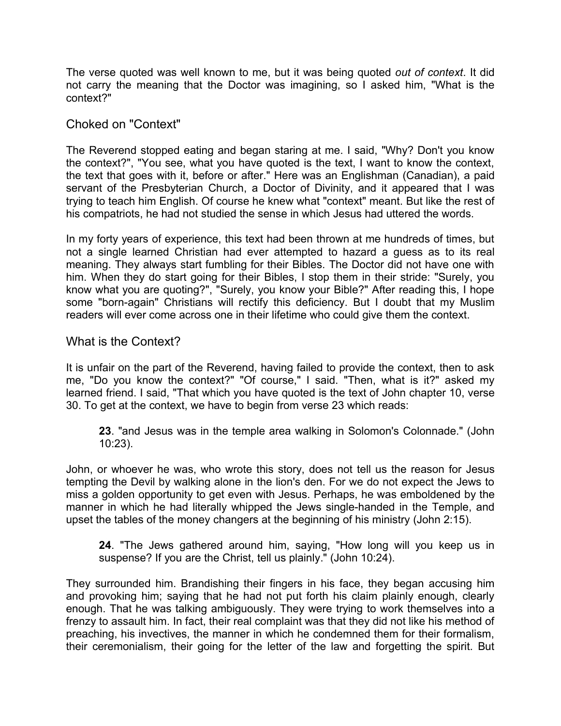The verse quoted was well known to me, but it was being quoted *out of context*. It did not carry the meaning that the Doctor was imagining, so I asked him, "What is the context?"

### Choked on "Context"

The Reverend stopped eating and began staring at me. I said, "Why? Don't you know the context?", "You see, what you have quoted is the text, I want to know the context, the text that goes with it, before or after." Here was an Englishman (Canadian), a paid servant of the Presbyterian Church, a Doctor of Divinity, and it appeared that I was trying to teach him English. Of course he knew what "context" meant. But like the rest of his compatriots, he had not studied the sense in which Jesus had uttered the words.

In my forty years of experience, this text had been thrown at me hundreds of times, but not a single learned Christian had ever attempted to hazard a guess as to its real meaning. They always start fumbling for their Bibles. The Doctor did not have one with him. When they do start going for their Bibles, I stop them in their stride: "Surely, you know what you are quoting?", "Surely, you know your Bible?" After reading this, I hope some "born-again" Christians will rectify this deficiency. But I doubt that my Muslim readers will ever come across one in their lifetime who could give them the context.

## What is the Context?

It is unfair on the part of the Reverend, having failed to provide the context, then to ask me, "Do you know the context?" "Of course," I said. "Then, what is it?" asked my learned friend. I said, "That which you have quoted is the text of John chapter 10, verse 30. To get at the context, we have to begin from verse 23 which reads:

**23**. "and Jesus was in the temple area walking in Solomon's Colonnade." (John 10:23).

John, or whoever he was, who wrote this story, does not tell us the reason for Jesus tempting the Devil by walking alone in the lion's den. For we do not expect the Jews to miss a golden opportunity to get even with Jesus. Perhaps, he was emboldened by the manner in which he had literally whipped the Jews single-handed in the Temple, and upset the tables of the money changers at the beginning of his ministry (John 2:15).

**24**. "The Jews gathered around him, saying, "How long will you keep us in suspense? If you are the Christ, tell us plainly." (John 10:24).

They surrounded him. Brandishing their fingers in his face, they began accusing him and provoking him; saying that he had not put forth his claim plainly enough, clearly enough. That he was talking ambiguously. They were trying to work themselves into a frenzy to assault him. In fact, their real complaint was that they did not like his method of preaching, his invectives, the manner in which he condemned them for their formalism, their ceremonialism, their going for the letter of the law and forgetting the spirit. But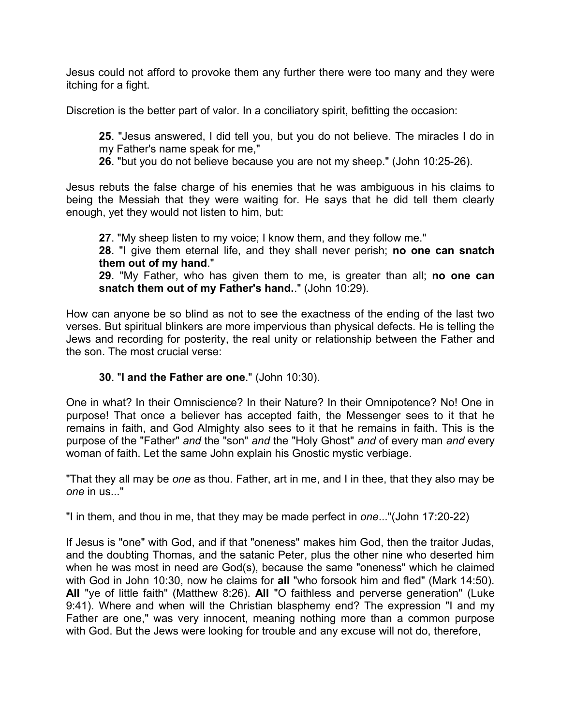Jesus could not afford to provoke them any further there were too many and they were itching for a fight.

Discretion is the better part of valor. In a conciliatory spirit, befitting the occasion:

**25**. "Jesus answered, I did tell you, but you do not believe. The miracles I do in my Father's name speak for me,"

**26**. "but you do not believe because you are not my sheep." (John 10:25-26).

Jesus rebuts the false charge of his enemies that he was ambiguous in his claims to being the Messiah that they were waiting for. He says that he did tell them clearly enough, yet they would not listen to him, but:

**27**. "My sheep listen to my voice; I know them, and they follow me."

**28**. "I give them eternal life, and they shall never perish; **no one can snatch them out of my hand**."

**29**. "My Father, who has given them to me, is greater than all; **no one can snatch them out of my Father's hand.**." (John 10:29).

How can anyone be so blind as not to see the exactness of the ending of the last two verses. But spiritual blinkers are more impervious than physical defects. He is telling the Jews and recording for posterity, the real unity or relationship between the Father and the son. The most crucial verse:

#### **30**. "**I and the Father are one**." (John 10:30).

One in what? In their Omniscience? In their Nature? In their Omnipotence? No! One in purpose! That once a believer has accepted faith, the Messenger sees to it that he remains in faith, and God Almighty also sees to it that he remains in faith. This is the purpose of the "Father" *and* the "son" *and* the "Holy Ghost" *and* of every man *and* every woman of faith. Let the same John explain his Gnostic mystic verbiage.

"That they all may be *one* as thou. Father, art in me, and I in thee, that they also may be *one* in us..."

"I in them, and thou in me, that they may be made perfect in *one*..."(John 17:20-22)

If Jesus is "one" with God, and if that "oneness" makes him God, then the traitor Judas, and the doubting Thomas, and the satanic Peter, plus the other nine who deserted him when he was most in need are God(s), because the same "oneness" which he claimed with God in John 10:30, now he claims for **all** "who forsook him and fled" (Mark 14:50). **All** "ye of little faith" (Matthew 8:26). **All** "O faithless and perverse generation" (Luke 9:41). Where and when will the Christian blasphemy end? The expression "I and my Father are one," was very innocent, meaning nothing more than a common purpose with God. But the Jews were looking for trouble and any excuse will not do, therefore,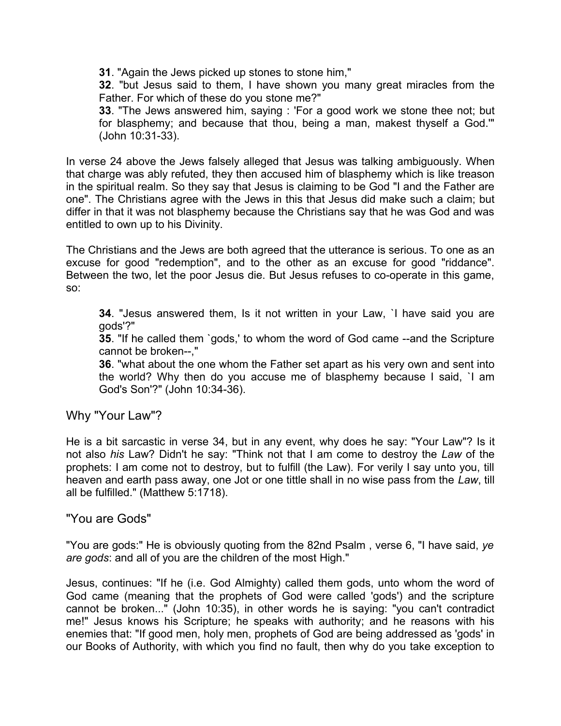**31**. "Again the Jews picked up stones to stone him,"

**32**. "but Jesus said to them, I have shown you many great miracles from the Father. For which of these do you stone me?"

**33**. "The Jews answered him, saying : 'For a good work we stone thee not; but for blasphemy; and because that thou, being a man, makest thyself a God.'" (John 10:31-33).

In verse 24 above the Jews falsely alleged that Jesus was talking ambiguously. When that charge was ably refuted, they then accused him of blasphemy which is like treason in the spiritual realm. So they say that Jesus is claiming to be God "I and the Father are one". The Christians agree with the Jews in this that Jesus did make such a claim; but differ in that it was not blasphemy because the Christians say that he was God and was entitled to own up to his Divinity.

The Christians and the Jews are both agreed that the utterance is serious. To one as an excuse for good "redemption", and to the other as an excuse for good "riddance". Between the two, let the poor Jesus die. But Jesus refuses to co-operate in this game, so:

**34**. "Jesus answered them, Is it not written in your Law, `I have said you are gods'?"

**35**. "If he called them `gods,' to whom the word of God came --and the Scripture cannot be broken--,"

**36**. "what about the one whom the Father set apart as his very own and sent into the world? Why then do you accuse me of blasphemy because I said, `I am God's Son'?" (John 10:34-36).

Why "Your Law"?

He is a bit sarcastic in verse 34, but in any event, why does he say: "Your Law"? Is it not also *his* Law? Didn't he say: "Think not that I am come to destroy the *Law* of the prophets: I am come not to destroy, but to fulfill (the Law). For verily I say unto you, till heaven and earth pass away, one Jot or one tittle shall in no wise pass from the *Law*, till all be fulfilled." (Matthew 5:1718).

"You are Gods"

"You are gods:" He is obviously quoting from the 82nd Psalm , verse 6, "I have said, *ye are gods*: and all of you are the children of the most High."

Jesus, continues: "If he (i.e. God Almighty) called them gods, unto whom the word of God came (meaning that the prophets of God were called 'gods') and the scripture cannot be broken..." (John 10:35), in other words he is saying: "you can't contradict me!" Jesus knows his Scripture; he speaks with authority; and he reasons with his enemies that: "If good men, holy men, prophets of God are being addressed as 'gods' in our Books of Authority, with which you find no fault, then why do you take exception to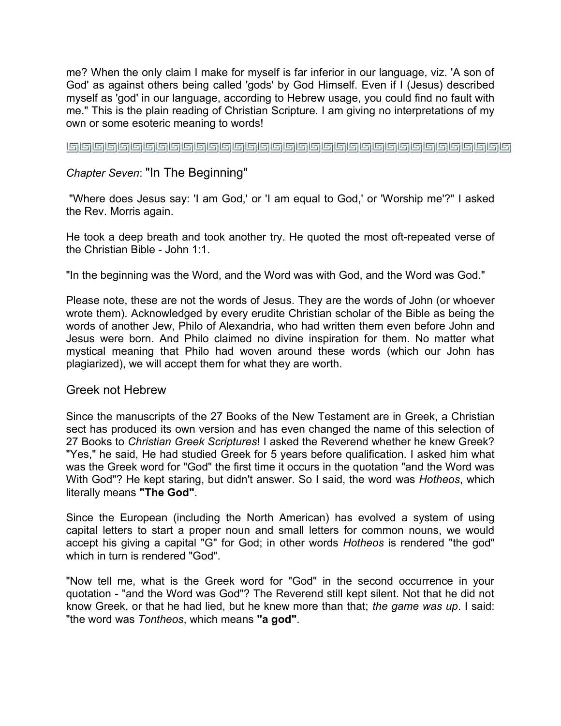me? When the only claim I make for myself is far inferior in our language, viz. 'A son of God' as against others being called 'gods' by God Himself. Even if I (Jesus) described myself as 'god' in our language, according to Hebrew usage, you could find no fault with me." This is the plain reading of Christian Scripture. I am giving no interpretations of my own or some esoteric meaning to words!

## *Chapter Seven*: "In The Beginning"

"Where does Jesus say: 'I am God,' or 'I am equal to God,' or 'Worship me'?" I asked the Rev. Morris again.

He took a deep breath and took another try. He quoted the most oft-repeated verse of the Christian Bible - John 1:1.

"In the beginning was the Word, and the Word was with God, and the Word was God."

Please note, these are not the words of Jesus. They are the words of John (or whoever wrote them). Acknowledged by every erudite Christian scholar of the Bible as being the words of another Jew, Philo of Alexandria, who had written them even before John and Jesus were born. And Philo claimed no divine inspiration for them. No matter what mystical meaning that Philo had woven around these words (which our John has plagiarized), we will accept them for what they are worth.

## Greek not Hebrew

Since the manuscripts of the 27 Books of the New Testament are in Greek, a Christian sect has produced its own version and has even changed the name of this selection of 27 Books to *Christian Greek Scriptures*! I asked the Reverend whether he knew Greek? "Yes," he said, He had studied Greek for 5 years before qualification. I asked him what was the Greek word for "God" the first time it occurs in the quotation "and the Word was With God"? He kept staring, but didn't answer. So I said, the word was *Hotheos*, which literally means **"The God"**.

Since the European (including the North American) has evolved a system of using capital letters to start a proper noun and small letters for common nouns, we would accept his giving a capital "G" for God; in other words *Hotheos* is rendered "the god" which in turn is rendered "God".

"Now tell me, what is the Greek word for "God" in the second occurrence in your quotation - "and the Word was God"? The Reverend still kept silent. Not that he did not know Greek, or that he had lied, but he knew more than that; *the game was up*. I said: "the word was *Tontheos*, which means **"a god"**.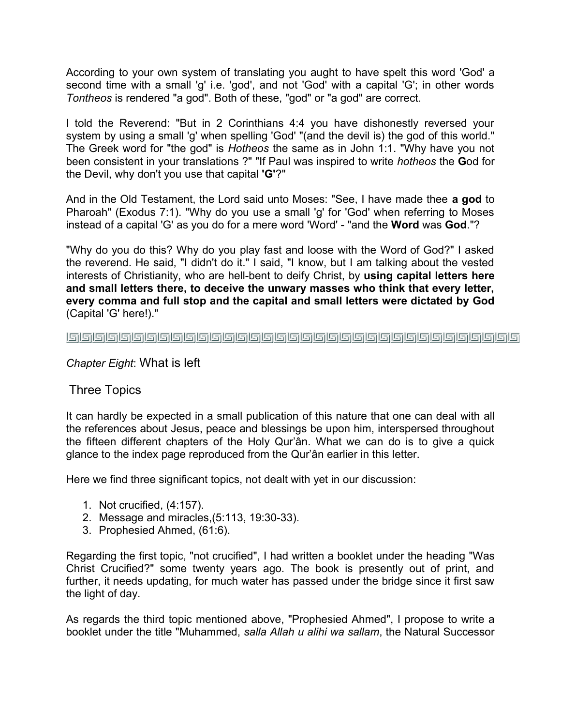According to your own system of translating you aught to have spelt this word 'God' a second time with a small 'g' i.e. 'god', and not 'God' with a capital 'G'; in other words *Tontheos* is rendered "a god". Both of these, "god" or "a god" are correct.

I told the Reverend: "But in 2 Corinthians 4:4 you have dishonestly reversed your system by using a small 'g' when spelling 'God' "(and the devil is) the god of this world." The Greek word for "the god" is *Hotheos* the same as in John 1:1. "Why have you not been consistent in your translations ?" "If Paul was inspired to write *hotheos* the **G**od for the Devil, why don't you use that capital **'G'**?"

And in the Old Testament, the Lord said unto Moses: "See, I have made thee **a god** to Pharoah" (Exodus 7:1). "Why do you use a small 'g' for 'God' when referring to Moses instead of a capital 'G' as you do for a mere word 'Word' - "and the **Word** was **God**."?

"Why do you do this? Why do you play fast and loose with the Word of God?" I asked the reverend. He said, "I didn't do it." I said, "I know, but I am talking about the vested interests of Christianity, who are hell-bent to deify Christ, by **using capital letters here and small letters there, to deceive the unwary masses who think that every letter, every comma and full stop and the capital and small letters were dictated by God** (Capital 'G' here!)."

*Chapter Eight*: What is left

## Three Topics

It can hardly be expected in a small publication of this nature that one can deal with all the references about Jesus, peace and blessings be upon him, interspersed throughout the fifteen different chapters of the Holy Qur'ân. What we can do is to give a quick glance to the index page reproduced from the Qur'ân earlier in this letter.

Here we find three significant topics, not dealt with yet in our discussion:

- 1. Not crucified, (4:157).
- 2. Message and miracles,(5:113, 19:30-33).
- 3. Prophesied Ahmed, (61:6).

Regarding the first topic, "not crucified", I had written a booklet under the heading "Was Christ Crucified?" some twenty years ago. The book is presently out of print, and further, it needs updating, for much water has passed under the bridge since it first saw the light of day.

As regards the third topic mentioned above, "Prophesied Ahmed", I propose to write a booklet under the title "Muhammed, *salla Allah u alihi wa sallam*, the Natural Successor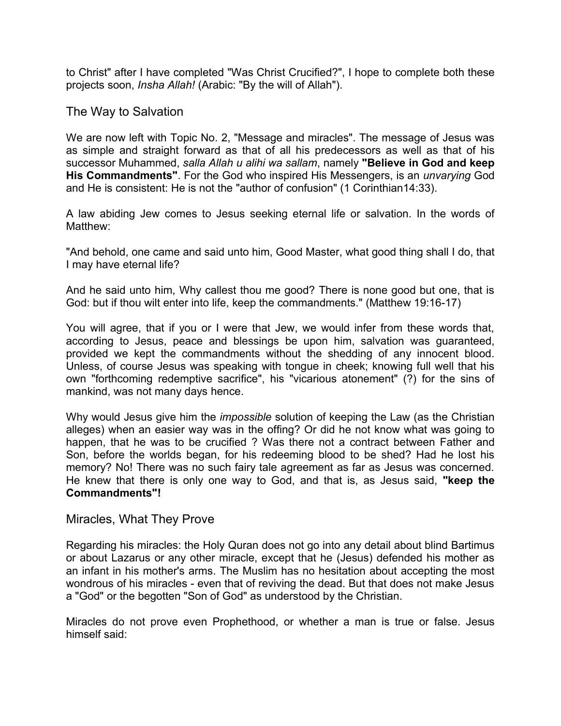to Christ" after I have completed "Was Christ Crucified?", I hope to complete both these projects soon, *Insha Allah!* (Arabic: "By the will of Allah").

The Way to Salvation

We are now left with Topic No. 2, "Message and miracles". The message of Jesus was as simple and straight forward as that of all his predecessors as well as that of his successor Muhammed, *salla Allah u alihi wa sallam*, namely **"Believe in God and keep His Commandments"**. For the God who inspired His Messengers, is an *unvarying* God and He is consistent: He is not the "author of confusion" (1 Corinthian14:33).

A law abiding Jew comes to Jesus seeking eternal life or salvation. In the words of Matthew:

"And behold, one came and said unto him, Good Master, what good thing shall I do, that I may have eternal life?

And he said unto him, Why callest thou me good? There is none good but one, that is God: but if thou wilt enter into life, keep the commandments." (Matthew 19:16-17)

You will agree, that if you or I were that Jew, we would infer from these words that, according to Jesus, peace and blessings be upon him, salvation was guaranteed, provided we kept the commandments without the shedding of any innocent blood. Unless, of course Jesus was speaking with tongue in cheek; knowing full well that his own "forthcoming redemptive sacrifice", his "vicarious atonement" (?) for the sins of mankind, was not many days hence.

Why would Jesus give him the *impossible* solution of keeping the Law (as the Christian alleges) when an easier way was in the offing? Or did he not know what was going to happen, that he was to be crucified ? Was there not a contract between Father and Son, before the worlds began, for his redeeming blood to be shed? Had he lost his memory? No! There was no such fairy tale agreement as far as Jesus was concerned. He knew that there is only one way to God, and that is, as Jesus said, **"keep the Commandments"!**

Miracles, What They Prove

Regarding his miracles: the Holy Quran does not go into any detail about blind Bartimus or about Lazarus or any other miracle, except that he (Jesus) defended his mother as an infant in his mother's arms. The Muslim has no hesitation about accepting the most wondrous of his miracles - even that of reviving the dead. But that does not make Jesus a "God" or the begotten "Son of God" as understood by the Christian.

Miracles do not prove even Prophethood, or whether a man is true or false. Jesus himself said: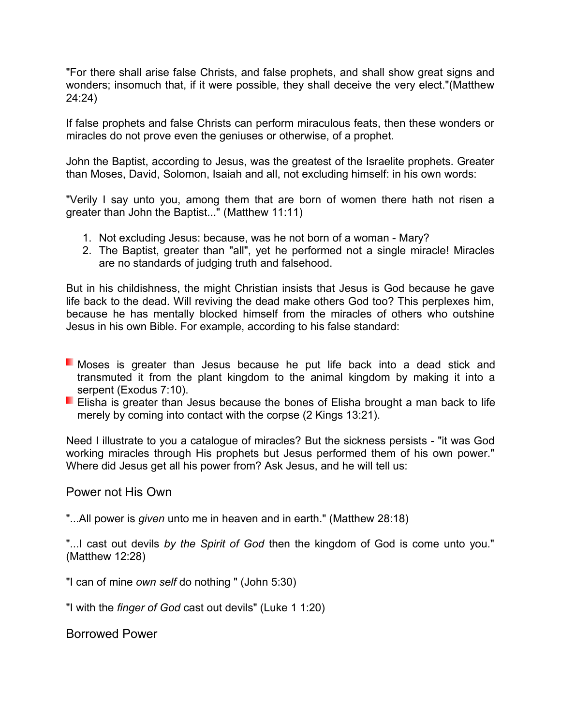"For there shall arise false Christs, and false prophets, and shall show great signs and wonders; insomuch that, if it were possible, they shall deceive the very elect."(Matthew 24:24)

If false prophets and false Christs can perform miraculous feats, then these wonders or miracles do not prove even the geniuses or otherwise, of a prophet.

John the Baptist, according to Jesus, was the greatest of the Israelite prophets. Greater than Moses, David, Solomon, Isaiah and all, not excluding himself: in his own words:

"Verily I say unto you, among them that are born of women there hath not risen a greater than John the Baptist..." (Matthew 11:11)

- 1. Not excluding Jesus: because, was he not born of a woman Mary?
- 2. The Baptist, greater than "all", yet he performed not a single miracle! Miracles are no standards of judging truth and falsehood.

But in his childishness, the might Christian insists that Jesus is God because he gave life back to the dead. Will reviving the dead make others God too? This perplexes him, because he has mentally blocked himself from the miracles of others who outshine Jesus in his own Bible. For example, according to his false standard:

- **Moses is greater than Jesus because he put life back into a dead stick and** transmuted it from the plant kingdom to the animal kingdom by making it into a serpent (Exodus 7:10).
- **Elisha is greater than Jesus because the bones of Elisha brought a man back to life** merely by coming into contact with the corpse (2 Kings 13:21).

Need I illustrate to you a catalogue of miracles? But the sickness persists - "it was God working miracles through His prophets but Jesus performed them of his own power." Where did Jesus get all his power from? Ask Jesus, and he will tell us:

Power not His Own

"...All power is *given* unto me in heaven and in earth." (Matthew 28:18)

"...I cast out devils *by the Spirit of God* then the kingdom of God is come unto you." (Matthew 12:28)

"I can of mine *own self* do nothing " (John 5:30)

"I with the *finger of God* cast out devils" (Luke 1 1:20)

Borrowed Power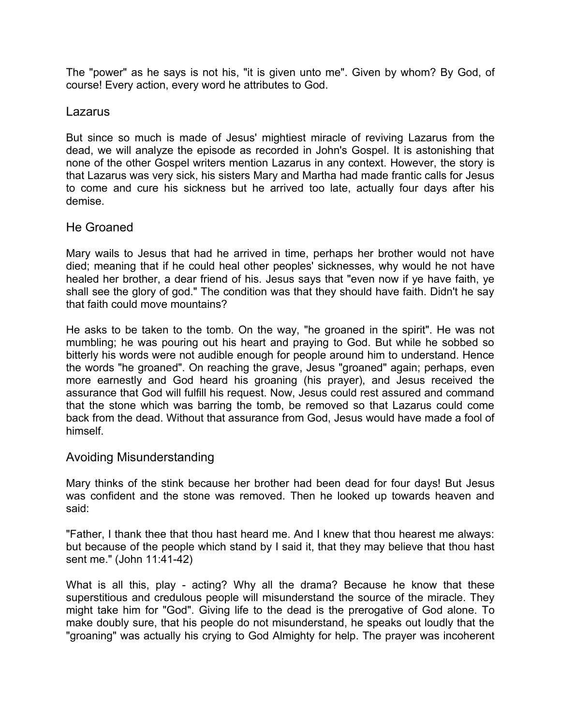The "power" as he says is not his, "it is given unto me". Given by whom? By God, of course! Every action, every word he attributes to God.

#### Lazarus

But since so much is made of Jesus' mightiest miracle of reviving Lazarus from the dead, we will analyze the episode as recorded in John's Gospel. It is astonishing that none of the other Gospel writers mention Lazarus in any context. However, the story is that Lazarus was very sick, his sisters Mary and Martha had made frantic calls for Jesus to come and cure his sickness but he arrived too late, actually four days after his demise.

#### He Groaned

Mary wails to Jesus that had he arrived in time, perhaps her brother would not have died; meaning that if he could heal other peoples' sicknesses, why would he not have healed her brother, a dear friend of his. Jesus says that "even now if ye have faith, ye shall see the glory of god." The condition was that they should have faith. Didn't he say that faith could move mountains?

He asks to be taken to the tomb. On the way, "he groaned in the spirit". He was not mumbling; he was pouring out his heart and praying to God. But while he sobbed so bitterly his words were not audible enough for people around him to understand. Hence the words "he groaned". On reaching the grave, Jesus "groaned" again; perhaps, even more earnestly and God heard his groaning (his prayer), and Jesus received the assurance that God will fulfill his request. Now, Jesus could rest assured and command that the stone which was barring the tomb, be removed so that Lazarus could come back from the dead. Without that assurance from God, Jesus would have made a fool of himself.

#### Avoiding Misunderstanding

Mary thinks of the stink because her brother had been dead for four days! But Jesus was confident and the stone was removed. Then he looked up towards heaven and said:

"Father, I thank thee that thou hast heard me. And I knew that thou hearest me always: but because of the people which stand by I said it, that they may believe that thou hast sent me." (John 11:41-42)

What is all this, play - acting? Why all the drama? Because he know that these superstitious and credulous people will misunderstand the source of the miracle. They might take him for "God". Giving life to the dead is the prerogative of God alone. To make doubly sure, that his people do not misunderstand, he speaks out loudly that the "groaning" was actually his crying to God Almighty for help. The prayer was incoherent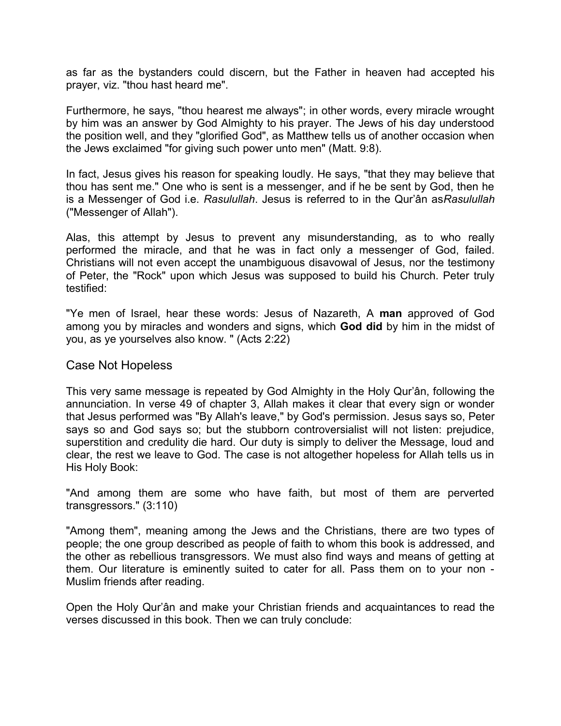as far as the bystanders could discern, but the Father in heaven had accepted his prayer, viz. "thou hast heard me".

Furthermore, he says, "thou hearest me always"; in other words, every miracle wrought by him was an answer by God Almighty to his prayer. The Jews of his day understood the position well, and they "glorified God", as Matthew tells us of another occasion when the Jews exclaimed "for giving such power unto men" (Matt. 9:8).

In fact, Jesus gives his reason for speaking loudly. He says, "that they may believe that thou has sent me." One who is sent is a messenger, and if he be sent by God, then he is a Messenger of God i.e. *Rasulullah*. Jesus is referred to in the Qur'ân as*Rasulullah* ("Messenger of Allah").

Alas, this attempt by Jesus to prevent any misunderstanding, as to who really performed the miracle, and that he was in fact only a messenger of God, failed. Christians will not even accept the unambiguous disavowal of Jesus, nor the testimony of Peter, the "Rock" upon which Jesus was supposed to build his Church. Peter truly testified:

"Ye men of Israel, hear these words: Jesus of Nazareth, A **man** approved of God among you by miracles and wonders and signs, which **God did** by him in the midst of you, as ye yourselves also know. " (Acts 2:22)

#### Case Not Hopeless

This very same message is repeated by God Almighty in the Holy Qur'ân, following the annunciation. In verse 49 of chapter 3, Allah makes it clear that every sign or wonder that Jesus performed was "By Allah's leave," by God's permission. Jesus says so, Peter says so and God says so; but the stubborn controversialist will not listen: prejudice, superstition and credulity die hard. Our duty is simply to deliver the Message, loud and clear, the rest we leave to God. The case is not altogether hopeless for Allah tells us in His Holy Book:

"And among them are some who have faith, but most of them are perverted transgressors." (3:110)

"Among them", meaning among the Jews and the Christians, there are two types of people; the one group described as people of faith to whom this book is addressed, and the other as rebellious transgressors. We must also find ways and means of getting at them. Our literature is eminently suited to cater for all. Pass them on to your non - Muslim friends after reading.

Open the Holy Qur'ân and make your Christian friends and acquaintances to read the verses discussed in this book. Then we can truly conclude: